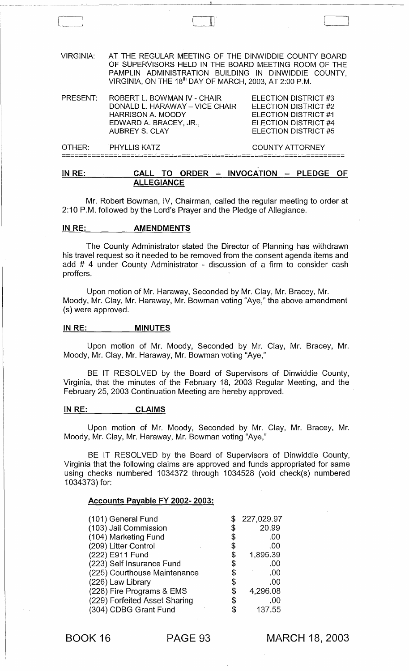VIRGINIA: AT THE REGULAR MEETING OF THE DINWIDDIE COUNTY BOARD OF SUPERVISORS HELD IN THE BOARD MEETING ROOM OF THE PAMPLIN ADMINISTRATION BUILDING IN DINWIDDIE COUNTY, VIRGINIA, ON THE 18<sup>th</sup> DAY OF MARCH, 2003, AT 2:00 P.M. PRESENT: ROBERT L. BOWMAN IV - CHAIR DONALD L. HARAWAY - VICE CHAIR HARRISON A. MOODY ELECTION DISTRICT #3 ELECTION DISTRICT #2 ELECTION DISTRICT #1 ELECTION DISTRICT #4 ELECTION DISTRICT #5 EDWARD A. BRACEY, JR., AUBREY S. CLAY OTHER: PHYLLIS KATZ COUNTY ATTORNEY ==================================================================

# IN RE: CALL TO ORDER - INVOCATION - PLEDGE OF ALLEGIANCE

Mr. Robert Bowman, IV, Chairman, called the regular meeting to order at 2:10 P.M. followed by the Lord's Prayer and the Pledge of Allegiance.

#### IN RE: **AMENDMENTS**

The County Administrator stated the Director of Planning has withdrawn his travel request so it needed to be removed from the consent agenda items and add # 4 under County Administrator - discussion of a firm to consider cash proffers.

Upon motion of Mr. Haraway, Seconded by Mr. Clay, Mr. Bracey, Mr. Moody, Mr. Clay, Mr. Haraway, Mr. Bowman voting "Aye," the above amendment (s) were approved.

#### IN RE: \_\_\_ \_\_ MINUTES

Upon motion of Mr. Moody, Seconded by Mr. Clay, Mr. Bracey, Mr. Moody, Mr. Clay, Mr. Haraway, Mr. Bowman voting "Aye,"

BE IT RESOLVED by the Board of Supervisors of Dinwiddie County, Virginia, that the minutes of the February 18, 2003 Regular Meeting, and the February 25, 2003 Continuation Meeting are hereby approved.

#### IN RE: CLAIMS

Upon motion of Mr. Moody, Seconded by Mr. Clay, Mr. Bracey, Mr. Moody, Mr. Clay, Mr. Haraway, Mr. Bowman voting "Aye,"

BE IT RESOLVED by the Board of Supervisors of Dinwiddie County, Virginia that the following claims are approved and funds appropriated for same using checks numbered 1034372 through 1034528 (void check(s) numbered 1034373) for:

## Accounts Payable FY 2002· 2003:

| (101) General Fund            |    | 227,029.97 |
|-------------------------------|----|------------|
| (103) Jail Commission         | \$ | 20.99      |
| (104) Marketing Fund          | \$ | .00        |
| (209) Litter Control          | \$ | .00        |
| (222) E911 Fund               | \$ | 1,895.39   |
| (223) Self Insurance Fund     | \$ | .00        |
| (225) Courthouse Maintenance  | \$ | .00        |
| (226) Law Library             | \$ | .00        |
| (228) Fire Programs & EMS     | \$ | 4,296.08   |
| (229) Forfeited Asset Sharing | S  | .00        |
| (304) CDBG Grant Fund         | \$ | 137.55     |

BOOK 16 PAGE 93

MARCH 18, 2003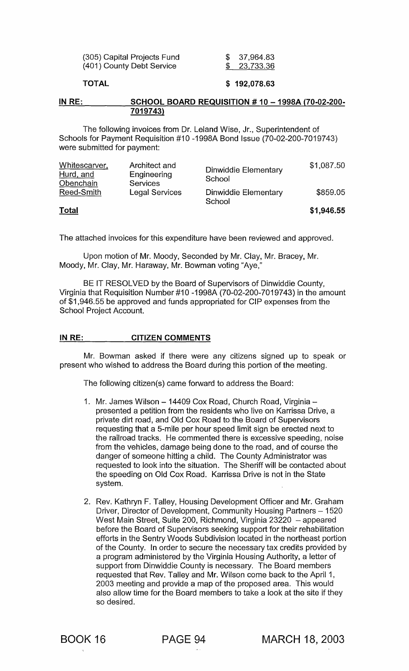| (305) Capital Projects Fund | \$37,964.83        |
|-----------------------------|--------------------|
| (401) County Debt Service   | <u>\$23,733.36</u> |

# TOTAL

# \$ 192,078.63

#### IN RE: SCHOOL BOARD REQUISITION # 10 - 1998A (70-02-200-7019743)

The following invoices from Dr. Leland Wise, Jr., Superintendent of Schools for Payment Requisition #10 -1998A Bond Issue (70-02-200-7019743) were submitted for payment:

| Whitescarver,<br>Hurd, and<br>Obenchain | Architect and<br>Engineering<br><b>Services</b> | Dinwiddie Elementary<br>School | \$1,087.50 |
|-----------------------------------------|-------------------------------------------------|--------------------------------|------------|
| Reed-Smith                              | <b>Legal Services</b>                           | Dinwiddie Elementary<br>School | \$859.05   |
| <u>Total</u>                            |                                                 |                                | \$1,946.55 |

The attached invoices for this expenditure have been reviewed and approved.

Upon motion of Mr. Moody, Seconded by Mr. Clay, Mr. Bracey, Mr. Moody, Mr. Clay, Mr. Haraway, Mr. Bowman voting "Aye,"

BE IT RESOLVED by the Board of Supervisors of Dinwiddie County, Virginia that Requisition Number#10 -1998A (70-02-200-7019743) in the amount of \$1 ,946.55 be approved and funds appropriated for CIP expenses from the School Project Account.

## IN RE: CITIZEN COMMENTS

Mr. Bowman asked if there were any citizens signed up to speak or present who wished to address the Board during this portion of the meeting.

The following citizen(s) came forward to address the Board:

- 1. Mr. James Wilson 14409 Cox Road, Church Road, Virginia presented a petition from the residents who live on Karrissa Drive, a private dirt road, and Old Cox Road to the Board of Supervisors requesting that a 5-mile per hour speed limit sign be erected next to the railroad tracks. He commented there is excessive speeding, noise from the vehicles, damage being done to the road, and of course the danger of someone hitting a child. The County Administrator was requested to look into the situation. The Sheriff will be contacted about the speeding on Old Cox Road. Karrissa Drive is not in the State system.
- 2. Rev. Kathryn F. Talley, Housing Development Officer and Mr. Graham Driver, Director of Development, Community Housing Partners - 1520 West Main Street, Suite 200, Richmond, Virginia 23220  $-$  appeared before the Board of Supervisors seeking support for their rehabilitation efforts in the Sentry Woods Subdivision located in the northeast portion of the County. In order to secure the necessary tax credits provided by a program administered by the Virginia Housing Authority, a letter of support from Dinwiddie County is necessary. The Board members requested that Rev. Talley and Mr. Wilson come back to the April 1, 2003 meeting and provide a map of the proposed area. This would also allow time for the Board members to take a look at the site if they so desired.

BOOK 16 PAGE 94 MARCH 18, 2003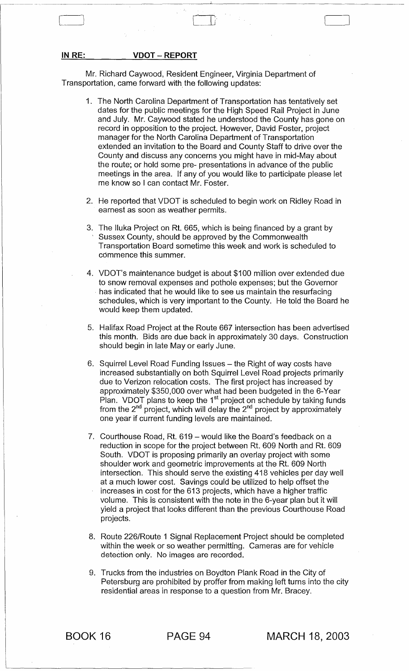IN RE: VDOT - REPORT

Mr. Richard Caywood, Resident Engineer, Virginia Department of Transportation, came forward with the following updates:

 $\begin{bmatrix} 1 & 1 & 1 \\ 1 & 1 & 1 \end{bmatrix}$ 

- 1. The North Carolina Department of Transportation has tentatively set dates for the public meetings for the High Speed Rail Project in June and July. Mr. Caywood stated he understood the County has gone on record in opposition to the project. However, David Foster, project manager for the North Carolina Department of Transportation extended an invitation to the Board and County Staff to drive over the County and discuss any concerns you might have in mid-May about the route; or hold some pre- presentations in advance of the public meetings in the area. If any of you would like to participate please let me know so I can contact Mr. Foster.
- 2. He reported that VDOT is scheduled to begin work on Ridley Road in earnest as soon as weather permits.
- 3. The lIuka Project on Rt. 665, which is being financed by a grant by Sussex County, should be approved by the Commonwealth Transportation Board sometime this week and work is scheduled to commence this summer.
- 4. VDOT's maintenance budget is about \$100 million over extended due to snow removal expenses and pothole expenses; but the Governor has indicated that he would like to see us maintain the resurfacing schedules, which is very important to the County. He told the Board he would keep them updated.
- 5. Halifax Road Project at the Route 667 intersection has been advertised this month. Bids are due back in approximately 30 days. Construction should begin in late Mayor early June.
- 6. Squirrel Level Road Funding Issues the Right of way costs have increased substantially on both Squirrel Level Road projects primarily due to Verizon relocation costs. The first project has increased by approximately \$350,000 over what had been budgeted in the 6-Year Plan. VDOT plans to keep the 1<sup>st</sup> project on schedule by taking funds from the 2<sup>nd</sup> project, which will delay the 2<sup>nd</sup> project by approximately one year if current funding levels are maintained.
- 7. Courthouse Road, Rt. 619 would like the Board's feedback on a reduction in scope for the project between Rt. 609 North and Rt. 609 South. VDOT is proposing primarily an overlay project with some shoulder work and geometric improvements at the Rt. 609 North intersection. This should serve the existing 418 vehicles per day well at a much lower cost. Savings could be utilized to help offset the increases in cost for the 613 projects, which have a higher traffic volume. This is consistent with the note in the 6-year plan but it will yield a project that looks different than the previous Courthouse Road projects.
- 8. Route 226/Route 1 Signal Replacement Project should be completed within the week or so weather permitting. Cameras are for vehicle detection only. No images are recorded.
- 9. Trucks from the industries on Boydton Plank Road in the City of Petersburg are prohibited by proffer from making left turns into the city residential areas in response to a question from Mr. Bracey.

BOOK 16 PAGE 94 MARCH 18, 2003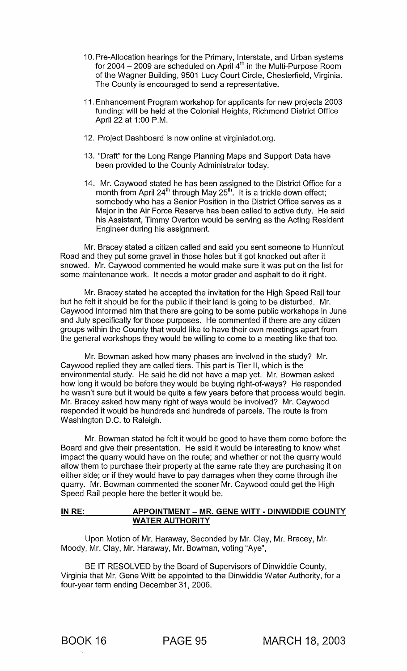- 10. Pre-Allocation hearings for the Primary, Interstate, and Urban systems for 2004  $-$  2009 are scheduled on April 4<sup>th</sup> in the Multi-Purpose Room of the Wagner Building, 9501 Lucy Court Circle, Chesterfield, Virginia. The County is encouraged to send a representative.
- 11. Enhancement Program workshop for applicants for new projects 2003 funding: will be held at the Colonial Heights, Richmond District Office April 22 at 1:00 P.M.
- 12. Project Dashboard is now online at virginiadot.org.
- 13. "Draft" for the Long Range Planning Maps and Support Data have been provided to the County Administrator today.
- 14. Mr. Caywood stated he has been assigned to the District Office for a month from April 24<sup>th</sup> through May 25<sup>th</sup>. It is a trickle down effect; somebody who has a Senior Position in the District Office serves as a Major in the Air Force Reserve has been called to active duty. He said his Assistant, Timmy Overton would be serving as the Acting Resident Engineer during his assignment.

Mr. Bracey stated a citizen called and said you sent someone to Hunnicut Road and they put some gravel in those holes but it got knocked out after it snowed. Mr. Caywood commented he would make sure it was put on the list for some maintenance work. It needs a motor grader and asphalt to do it right.

Mr. Bracey stated he accepted the invitation for the High Speed Rail tour but he felt it should be for the public if their land is going to be disturbed. Mr. Caywood informed him that there are going to be some public workshops in June and July specifically for those purposes. He commented if there are any citizen groups within the County that would like to have their own meetings apart from the general workshops they would be willing to come to a meeting like that too.

Mr. Bowman asked how many phases are involved in the study? Mr. Caywood replied they are called tiers. This part is Tier II, which is the environmental study. He said he did not have a map yet. Mr. Bowman asked how long it would be before they would be buying right-of-ways? He responded he wasn't sure but it would be quite a few years before that process would begin. Mr. Bracey asked how many right of ways would be involved? Mr. Caywood responded it would be hundreds and hundreds of parcels. The route is from Washington D.C. to Raleigh.

Mr. Bowman stated he felt it would be good to have them come before the Board and give their presentation. He said it would be interesting to know what impact the quarry would have on the route; and whether or not the quarry would allow them to purchase their property at the same rate they are purchasing it on either side; or if they would have to pay damages when they come through the quarry. Mr. Bowman commented the sooner Mr. Caywood could get the High Speed Rail people here the better it would be.

# IN RE: APPOINTMENT - MR. GENE WITT - DINWIDDIE COUNTY WATER AUTHORITY

Upon Motion of Mr. Haraway, Seconded by Mr. Clay, Mr. Bracey, Mr. Moody, Mr. Clay, Mr. Haraway, Mr. Bowman, voting "Aye",

BE IT RESOLVED by the Board of Supervisors of Dinwiddie County, Virginia that Mr. Gene Witt be appointed to the Dinwiddie Water Authority, for a four-year term ending December 31,2006.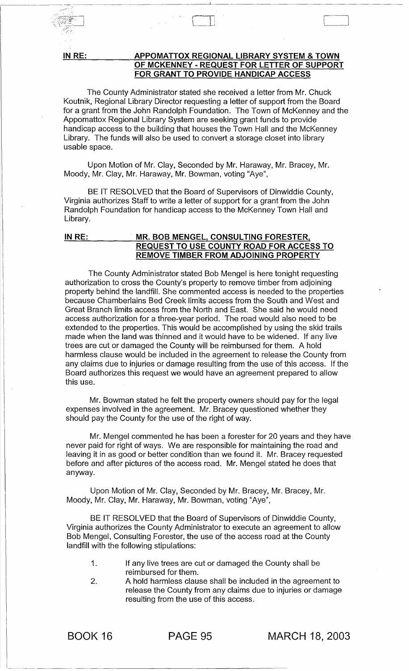IN RE:

 $\gamma$   $\sim$   $\sim$ / r: '/

## APPOMATTOX REGIONAL LIBRARY SYSTEM & TOWN OF MCKENNEY - REQUEST FOR LETTER OF SUPPORT FOR GRANT TO PROVIDE HANDICAP ACCESS

--~-------------------------------~~--------------------------------------

 $\begin{matrix} \begin{matrix} \begin{matrix} \begin{matrix} \end{matrix} \\ \end{matrix} \\ \end{matrix} \end{matrix} \end{matrix}$ 

The County Administrator stated she received a letter from Mr. Chuck Koutnik, Regional Library Director requesting a letter of support from the Board for a grant from the John Randolph Foundation. The Town of McKenney and the Appomattox Regional Library System are seeking grant funds to provide handicap access to the building that houses the Town Hall and the McKenney Library. The funds will also be used to convert a storage closet into library usable space.

Upon Motion of Mr. Clay, Seconded by Mr. Haraway, Mr. Bracey, Mr. Moody, Mr. Clay, Mr. Haraway, Mr. Bowman, voting "Aye",

BE IT RESOLVED that the Board of Supervisors of Dinwiddie County, Virginia authorizes Staff to write a letter of support for a grant from the John Randolph Foundation for handicap access to the McKenney Town Hall and Library.

# IN RE: \_\_\_\_\_\_\_\_\_\_ MR. BOB MENGEL, CONSULTING FORESTER, REQUEST TO USE COUNTY ROAD FOR ACCESS TO REMOVE TIMBER FROM ADJOINING PROPERTY

The County Administrator stated Bob Mengel is here tonight requesting authorization to cross the County's property to remove timber from adjoining property behind the landfill. She commented access is needed to the properties because Chamberlains Bed Creek limits access from the South and West and Great Branch limits access from the North and East. She said he would need access authorization for a three-year period. The road would also need to be extended to the properties. This would be accomplished by using the skid trails made when the land was thinned and it would have to be widened. If any live trees are cut or damaged the County will be reimbursed for them. A hold harmless clause would be included in the agreement to release the County from any claims due to injuries or damage resulting from the use of this access. If the Board authorizes this request we would have an agreement prepared to allow this use.

Mr. Bowman stated he felt the property owners should pay for the legal expenses involved in the agreement. Mr. Bracey questioned whether they should pay the County for the use of the right of way.

Mr. Mengel commented he has been a forester for 20 years and they have never paid for right of ways. We are responsible for maintaining the road and leaving it in as good or better condition than we found it. Mr. Bracey requested before and after pictures of the access road. Mr. Mengel stated he does that anyway.

Upon Motion of Mr. Clay, Seconded by Mr. Bracey, Mr. Bracey, Mr. Moody, Mr. Clay, Mr. Haraway, Mr. Bowman, voting "Aye",

BE IT RESOLVED that the Board of Supervisors of Dinwiddie County, Virginia authorizes the County Administrator to execute an agreement to allow Bob Mengel, Consulting Forester, the use of the access road at the County landfill with the following stipulations:

- 1. If any live trees are cut or damaged the County shall be reimbursed for them.
- 2. A hold harmless clause shall be included in the agreement to release the County from any claims due to injuries or damage resulting from the use of this access.

... ------~---.. - -----------------------------------------

BOOK 16 PAGE 95 MARCH 18, 2003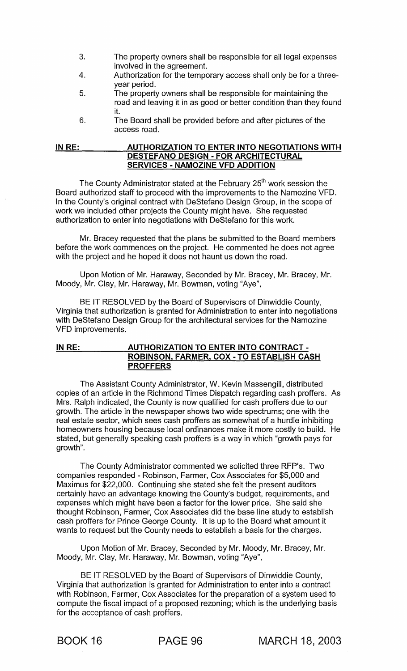- 3. The property owners shall be responsible for all legal expenses involved in the agreement.
- 4. Authorization for the temporary access shall only be for a threeyear period.
- 5. The property owners shall be responsible for maintaining the road and leaving it in as good or better condition than they found it.
- 6. The Board shall be provided before and after pictures of the access road.

#### **IN RE: AUTHORIZATION TO ENTER INTO NEGOTIATIONS WITH DESTEFANO DESIGN - FOR ARCHITECTURAL SERVICES - NAMOZINE VFD ADDITION**

The County Administrator stated at the February 25<sup>th</sup> work session the Board authorized staff to proceed with the improvements to the Namozine VFD. In the County's original contract with DeStefano Design Group, in the scope of work we included other projects the County might have. She requested authorization to enter into negotiations with DeStefano for this work.

Mr. Bracey requested that the plans be submitted to the Board members before the work commences on the project. He commented he does not agree with the project and he hoped it does not haunt us down the road.

Upon Motion of Mr. Haraway, Seconded by Mr. Bracey, Mr. Bracey, Mr. Moody, Mr. Clay, Mr. Haraway, Mr. Bowman, voting "Aye",

BE IT RESOLVED by the Board of Supervisors of Dinwiddie County, Virginia that authorization is granted for Administration to enter into negotiations with DeStefano Design Group for the architectural services for the Namozine VFD improvements.

# **IN RE: AUTHORIZATION TO ENTER INTO CONTRACT -ROBINSON, FARMER, COX - TO ESTABLISH CASH PROFFERS**

The Assistant County Administrator, W. Kevin Massengill, distributed copies of an article in the Richmond Times Dispatch regarding cash proffers. As Mrs. Ralph indicated, the County is now qualified for cash proffers due to our growth. The article in the newspaper shows two wide spectrums; one with the real estate sector, which sees cash proffers as somewhat of a hurdle inhibiting homeowners housing because local ordinances make it more costly to build. He stated, but generally speaking cash proffers is a way in which "growth pays for growth".

The County Administrator commented we solicited three RFP's. Two companies responded - Robinson, Farmer, Cox Associates for \$5,000 and Maximus for \$22,000. Continuing she stated she felt the present auditors certainly have an advantage knowing the County's budget, requirements, and expenses which might have been a factor for the lower price. She said she thought Robinson, Farmer, Cox Associates did the base line study to establish cash proffers for Prince George County. It is up to the Board what amount it wants to request but the County needs to establish a basis for the charges.

Upon Motion of Mr. Bracey, Seconded by Mr. Moody, Mr. Bracey, Mr. Moody, Mr. Clay, Mr. Haraway, Mr. Bowman, voting "Aye",

BE IT RESOLVED by the Board of Supervisors of Dinwiddie County, Virginia that authorization is granted for Administration to enter into a contract with Robinson, Farmer, Cox Associates for the preparation of a system used to compute the fiscal impact of a proposed rezoning; which is the underlying basis for the acceptance of cash proffers.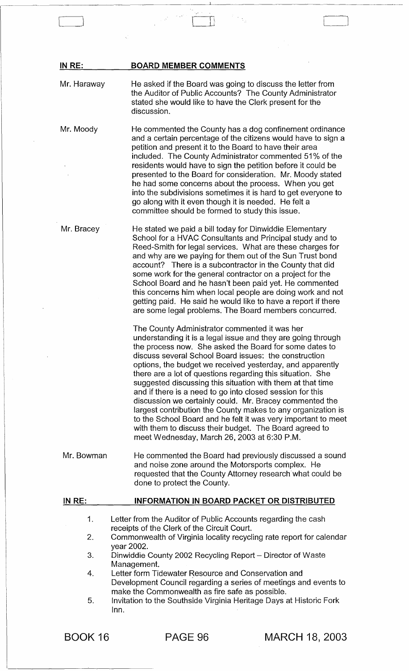| IN RE:                     | <b>BOARD MEMBER COMMENTS</b>                                                                                                                                                                                                                                                                                                                                                                                                                                                                                                                                                                                                                                                                                                                                                                |
|----------------------------|---------------------------------------------------------------------------------------------------------------------------------------------------------------------------------------------------------------------------------------------------------------------------------------------------------------------------------------------------------------------------------------------------------------------------------------------------------------------------------------------------------------------------------------------------------------------------------------------------------------------------------------------------------------------------------------------------------------------------------------------------------------------------------------------|
| Mr. Haraway                | He asked if the Board was going to discuss the letter from<br>the Auditor of Public Accounts? The County Administrator<br>stated she would like to have the Clerk present for the<br>discussion.                                                                                                                                                                                                                                                                                                                                                                                                                                                                                                                                                                                            |
| Mr. Moody                  | He commented the County has a dog confinement ordinance<br>and a certain percentage of the citizens would have to sign a<br>petition and present it to the Board to have their area<br>included. The County Administrator commented 51% of the<br>residents would have to sign the petition before it could be<br>presented to the Board for consideration. Mr. Moody stated<br>he had some concerns about the process. When you get<br>into the subdivisions sometimes it is hard to get everyone to<br>go along with it even though it is needed. He felt a<br>committee should be formed to study this issue.                                                                                                                                                                            |
| Mr. Bracey                 | He stated we paid a bill today for Dinwiddie Elementary<br>School for a HVAC Consultants and Principal study and to<br>Reed-Smith for legal services. What are these charges for<br>and why are we paying for them out of the Sun Trust bond<br>account? There is a subcontractor in the County that did<br>some work for the general contractor on a project for the<br>School Board and he hasn't been paid yet. He commented<br>this concerns him when local people are doing work and not<br>getting paid. He said he would like to have a report if there<br>are some legal problems. The Board members concurred.                                                                                                                                                                     |
|                            | The County Administrator commented it was her<br>understanding it is a legal issue and they are going through<br>the process now. She asked the Board for some dates to<br>discuss several School Board issues: the construction<br>options, the budget we received yesterday, and apparently<br>there are a lot of questions regarding this situation. She<br>suggested discussing this situation with them at that time<br>and if there is a need to go into closed session for this<br>discussion we certainly could. Mr. Bracey commented the<br>largest contribution the County makes to any organization is<br>to the School Board and he felt it was very important to meet<br>with them to discuss their budget. The Board agreed to<br>meet Wednesday, March 26, 2003 at 6:30 P.M. |
| Mr. Bowman                 | He commented the Board had previously discussed a sound<br>and noise zone around the Motorsports complex. He<br>requested that the County Attorney research what could be<br>done to protect the County.                                                                                                                                                                                                                                                                                                                                                                                                                                                                                                                                                                                    |
| IN RE:                     | <b>INFORMATION IN BOARD PACKET OR DISTRIBUTED</b>                                                                                                                                                                                                                                                                                                                                                                                                                                                                                                                                                                                                                                                                                                                                           |
| 1.<br>2.<br>3.<br>4.<br>5. | Letter from the Auditor of Public Accounts regarding the cash<br>receipts of the Clerk of the Circuit Court.<br>Commonwealth of Virginia locality recycling rate report for calendar<br>year 2002.<br>Dinwiddie County 2002 Recycling Report - Director of Waste<br>Management.<br>Letter form Tidewater Resource and Conservation and<br>Development Council regarding a series of meetings and events to<br>make the Commonwealth as fire safe as possible.<br>Invitation to the Southside Virginia Heritage Days at Historic Fork<br>Inn.                                                                                                                                                                                                                                                |

 $\mathbb{R}^2$  , and  $\mathbb{R}^2$  if  $\mathbb{R}^2$  ,  $\mathbb{R}^2$  ,  $\mathbb{R}^2$  ,  $\mathbb{R}^2$  ,  $\mathbb{R}^2$  ,  $\mathbb{R}^2$  ,  $\mathbb{R}^2$  ,  $\mathbb{R}^2$  ,  $\mathbb{R}^2$  ,  $\mathbb{R}^2$  ,  $\mathbb{R}^2$  ,  $\mathbb{R}^2$  ,  $\mathbb{R}^2$  ,  $\mathbb{R}^2$  ,  $\mathbb{R}^$ 

 $\hat{\boldsymbol{\beta}}$ 

BOOK 16 PAGE 96 MARCH 18, 2003